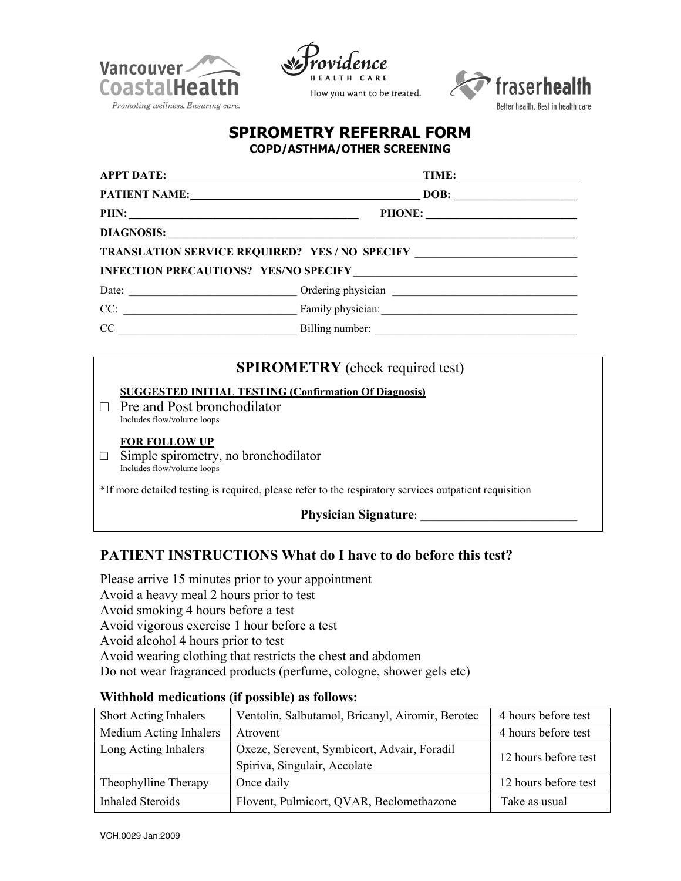





## **SPIROMETRY REFERRAL FORM COPD/ASTHMA/OTHER SCREENING**

|                                                                                                                 | $\blacksquare$ TIME: $\blacksquare$                                              |  |  |  |  |  |  |
|-----------------------------------------------------------------------------------------------------------------|----------------------------------------------------------------------------------|--|--|--|--|--|--|
|                                                                                                                 |                                                                                  |  |  |  |  |  |  |
|                                                                                                                 |                                                                                  |  |  |  |  |  |  |
| DIAGNOSIS: University of the Commission of the Commission of the Commission of the Commission of the Commission |                                                                                  |  |  |  |  |  |  |
|                                                                                                                 | TRANSLATION SERVICE REQUIRED? YES / NO SPECIFY _________________________________ |  |  |  |  |  |  |
|                                                                                                                 |                                                                                  |  |  |  |  |  |  |
|                                                                                                                 |                                                                                  |  |  |  |  |  |  |
|                                                                                                                 |                                                                                  |  |  |  |  |  |  |
|                                                                                                                 |                                                                                  |  |  |  |  |  |  |
|                                                                                                                 |                                                                                  |  |  |  |  |  |  |
|                                                                                                                 | <b>SPIROMETRY</b> (check required test)                                          |  |  |  |  |  |  |

## **SUGGESTED INITIAL TESTING (Confirmation Of Diagnosis)**

 $\Box$  Pre and Post bronchodilator Includes flow/volume loops

#### **FOR FOLLOW UP**

 $\Box$  Simple spirometry, no bronchodilator Includes flow/volume loops

\*If more detailed testing is required, please refer to the respiratory services outpatient requisition

## **Physician Signature:**

# **PATIENT INSTRUCTIONS What do I have to do before this test?**

Please arrive 15 minutes prior to your appointment Avoid a heavy meal 2 hours prior to test Avoid smoking 4 hours before a test Avoid vigorous exercise 1 hour before a test Avoid alcohol 4 hours prior to test Avoid wearing clothing that restricts the chest and abdomen Do not wear fragranced products (perfume, cologne, shower gels etc)

| <b>Short Acting Inhalers</b> | Ventolin, Salbutamol, Bricanyl, Airomir, Berotec | 4 hours before test  |  |  |
|------------------------------|--------------------------------------------------|----------------------|--|--|
| Medium Acting Inhalers       | Atrovent                                         | 4 hours before test  |  |  |
| Long Acting Inhalers         | Oxeze, Serevent, Symbicort, Advair, Foradil      |                      |  |  |
|                              | Spiriva, Singulair, Accolate                     | 12 hours before test |  |  |
| Theophylline Therapy         | Once daily                                       | 12 hours before test |  |  |
| <b>Inhaled Steroids</b>      | Flovent, Pulmicort, QVAR, Beclomethazone         | Take as usual        |  |  |

## **Withhold medications (if possible) as follows:**